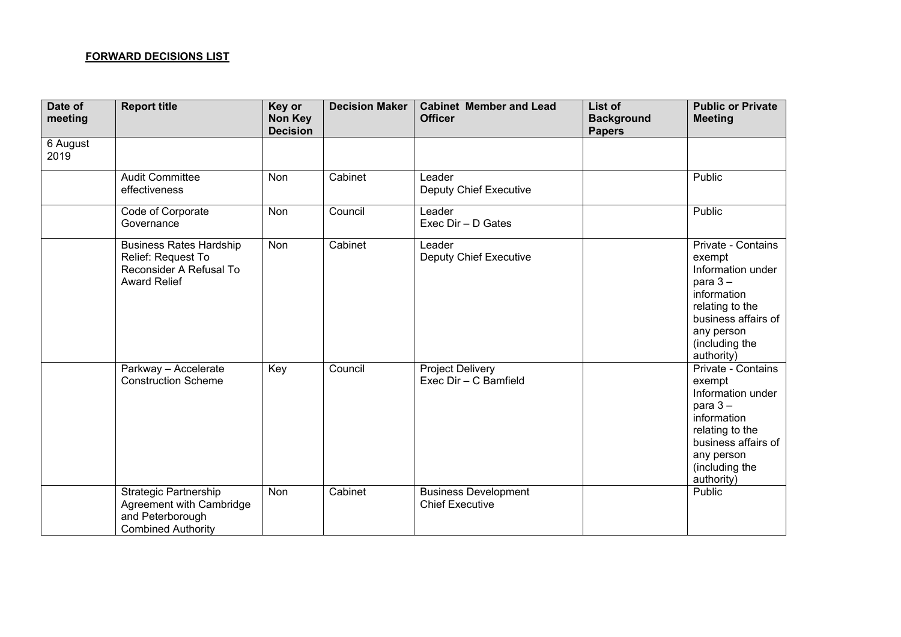## **FORWARD DECISIONS LIST**

| Date of<br>meeting | <b>Report title</b>                                                                                       | Key or<br>Non Key<br><b>Decision</b> | <b>Decision Maker</b> | <b>Cabinet Member and Lead</b><br><b>Officer</b>      | List of<br><b>Background</b><br><b>Papers</b> | <b>Public or Private</b><br><b>Meeting</b>                                                                                                                             |
|--------------------|-----------------------------------------------------------------------------------------------------------|--------------------------------------|-----------------------|-------------------------------------------------------|-----------------------------------------------|------------------------------------------------------------------------------------------------------------------------------------------------------------------------|
| 6 August<br>2019   |                                                                                                           |                                      |                       |                                                       |                                               |                                                                                                                                                                        |
|                    | <b>Audit Committee</b><br>effectiveness                                                                   | Non                                  | Cabinet               | Leader<br><b>Deputy Chief Executive</b>               |                                               | Public                                                                                                                                                                 |
|                    | Code of Corporate<br>Governance                                                                           | <b>Non</b>                           | Council               | Leader<br>Exec Dir - D Gates                          |                                               | Public                                                                                                                                                                 |
|                    | <b>Business Rates Hardship</b><br>Relief: Request To<br>Reconsider A Refusal To<br><b>Award Relief</b>    | Non                                  | Cabinet               | Leader<br><b>Deputy Chief Executive</b>               |                                               | Private - Contains<br>exempt<br>Information under<br>para $3 -$<br>information<br>relating to the<br>business affairs of<br>any person<br>(including the<br>authority) |
|                    | Parkway - Accelerate<br><b>Construction Scheme</b>                                                        | Key                                  | Council               | <b>Project Delivery</b><br>Exec Dir - C Bamfield      |                                               | Private - Contains<br>exempt<br>Information under<br>para $3 -$<br>information<br>relating to the<br>business affairs of<br>any person<br>(including the<br>authority) |
|                    | <b>Strategic Partnership</b><br>Agreement with Cambridge<br>and Peterborough<br><b>Combined Authority</b> | Non                                  | Cabinet               | <b>Business Development</b><br><b>Chief Executive</b> |                                               | Public                                                                                                                                                                 |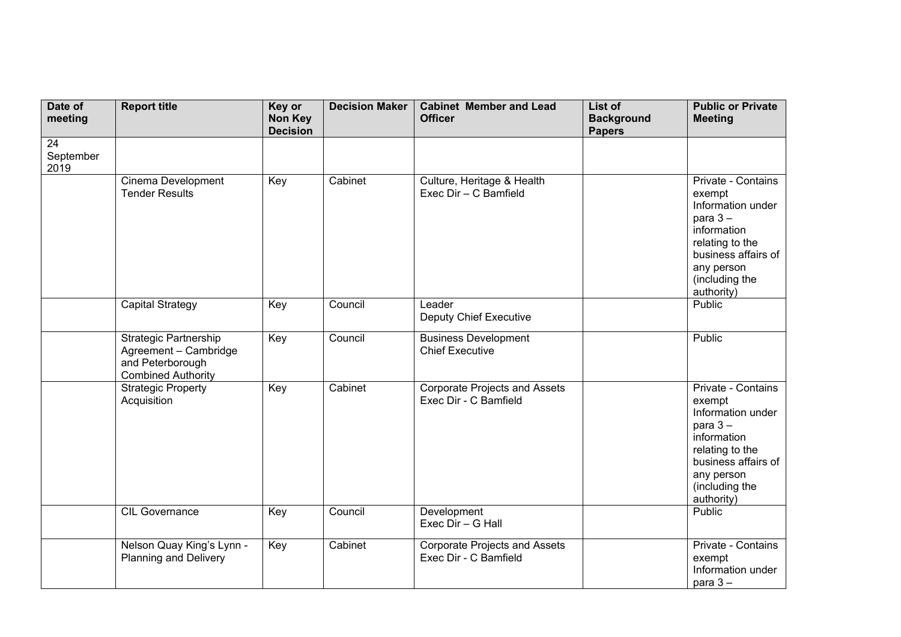| Date of<br>meeting      | <b>Report title</b>                                                                                    | Key or<br><b>Non Key</b><br><b>Decision</b> | <b>Decision Maker</b> | <b>Cabinet Member and Lead</b><br><b>Officer</b>              | List of<br><b>Background</b><br><b>Papers</b> | <b>Public or Private</b><br><b>Meeting</b>                                                                                                                             |
|-------------------------|--------------------------------------------------------------------------------------------------------|---------------------------------------------|-----------------------|---------------------------------------------------------------|-----------------------------------------------|------------------------------------------------------------------------------------------------------------------------------------------------------------------------|
| 24<br>September<br>2019 |                                                                                                        |                                             |                       |                                                               |                                               |                                                                                                                                                                        |
|                         | Cinema Development<br><b>Tender Results</b>                                                            | Key                                         | Cabinet               | Culture, Heritage & Health<br>Exec Dir - C Bamfield           |                                               | Private - Contains<br>exempt<br>Information under<br>para $3-$<br>information<br>relating to the<br>business affairs of<br>any person<br>(including the<br>authority)  |
|                         | <b>Capital Strategy</b>                                                                                | Key                                         | Council               | Leader<br><b>Deputy Chief Executive</b>                       |                                               | Public                                                                                                                                                                 |
|                         | <b>Strategic Partnership</b><br>Agreement - Cambridge<br>and Peterborough<br><b>Combined Authority</b> | Key                                         | Council               | <b>Business Development</b><br><b>Chief Executive</b>         |                                               | Public                                                                                                                                                                 |
|                         | <b>Strategic Property</b><br>Acquisition                                                               | Key                                         | Cabinet               | <b>Corporate Projects and Assets</b><br>Exec Dir - C Bamfield |                                               | Private - Contains<br>exempt<br>Information under<br>para $3 -$<br>information<br>relating to the<br>business affairs of<br>any person<br>(including the<br>authority) |
|                         | <b>CIL Governance</b>                                                                                  | Key                                         | Council               | Development<br>Exec Dir - G Hall                              |                                               | Public                                                                                                                                                                 |
|                         | Nelson Quay King's Lynn -<br><b>Planning and Delivery</b>                                              | Key                                         | Cabinet               | <b>Corporate Projects and Assets</b><br>Exec Dir - C Bamfield |                                               | Private - Contains<br>exempt<br>Information under<br>para $3 -$                                                                                                        |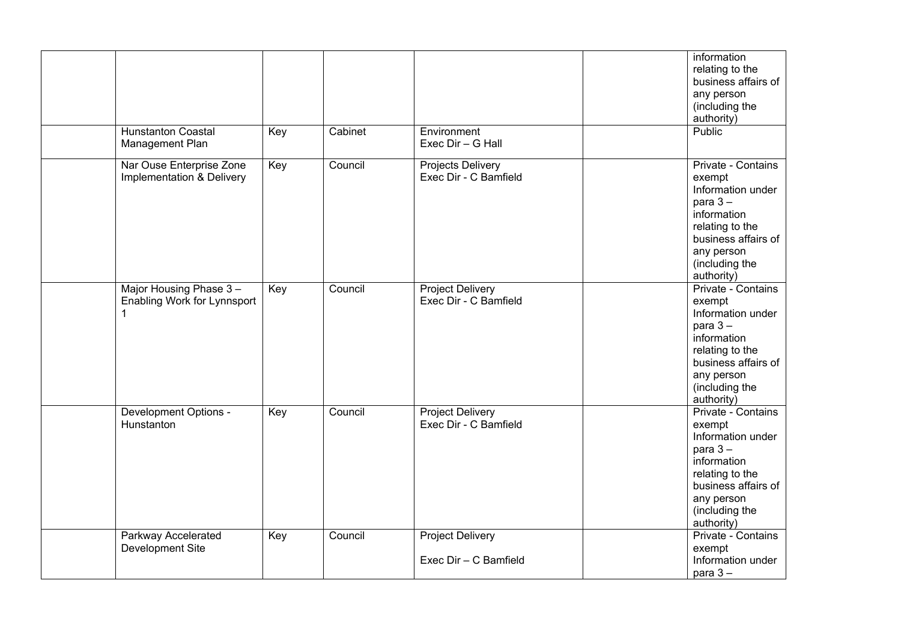|                                                       |     |         |                                                  | information<br>relating to the<br>business affairs of<br>any person<br>(including the<br>authority)                                                                    |
|-------------------------------------------------------|-----|---------|--------------------------------------------------|------------------------------------------------------------------------------------------------------------------------------------------------------------------------|
| <b>Hunstanton Coastal</b><br>Management Plan          | Key | Cabinet | Environment<br>Exec Dir - G Hall                 | Public                                                                                                                                                                 |
| Nar Ouse Enterprise Zone<br>Implementation & Delivery | Key | Council | Projects Delivery<br>Exec Dir - C Bamfield       | Private - Contains<br>exempt<br>Information under<br>para $3 -$<br>information<br>relating to the<br>business affairs of<br>any person<br>(including the<br>authority) |
| Major Housing Phase 3-<br>Enabling Work for Lynnsport | Key | Council | <b>Project Delivery</b><br>Exec Dir - C Bamfield | Private - Contains<br>exempt<br>Information under<br>para $3 -$<br>information<br>relating to the<br>business affairs of<br>any person<br>(including the<br>authority) |
| Development Options -<br>Hunstanton                   | Key | Council | <b>Project Delivery</b><br>Exec Dir - C Bamfield | Private - Contains<br>exempt<br>Information under<br>para $3 -$<br>information<br>relating to the<br>business affairs of<br>any person<br>(including the<br>authority) |
| Parkway Accelerated<br>Development Site               | Key | Council | <b>Project Delivery</b><br>Exec Dir - C Bamfield | Private - Contains<br>exempt<br>Information under<br>para $3 -$                                                                                                        |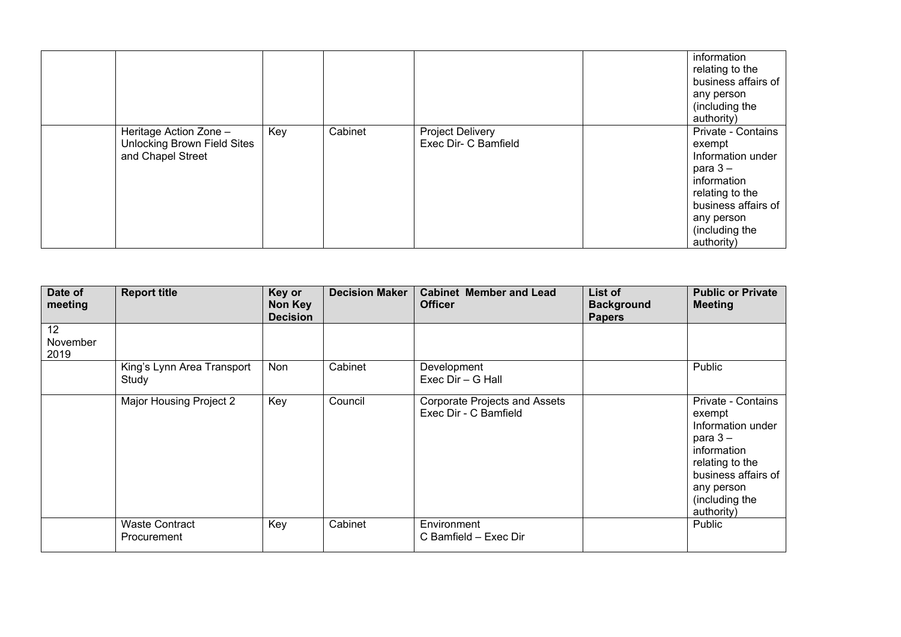|                                                                            |     |         |                                          | information<br>relating to the<br>business affairs of<br>any person<br>(including the                                                                                               |
|----------------------------------------------------------------------------|-----|---------|------------------------------------------|-------------------------------------------------------------------------------------------------------------------------------------------------------------------------------------|
| Heritage Action Zone -<br>Unlocking Brown Field Sites<br>and Chapel Street | Key | Cabinet | Project Delivery<br>Exec Dir- C Bamfield | authority)<br>Private - Contains<br>exempt<br>Information under<br>para $3-$<br>information<br>relating to the<br>business affairs of<br>any person<br>(including the<br>authority) |

| Date of<br>meeting     | <b>Report title</b>                  | Key or<br>Non Key<br><b>Decision</b> | <b>Decision Maker</b> | <b>Cabinet Member and Lead</b><br><b>Officer</b>              | List of<br><b>Background</b><br><b>Papers</b> | <b>Public or Private</b><br><b>Meeting</b>                                                                                                                             |
|------------------------|--------------------------------------|--------------------------------------|-----------------------|---------------------------------------------------------------|-----------------------------------------------|------------------------------------------------------------------------------------------------------------------------------------------------------------------------|
| 12<br>November<br>2019 |                                      |                                      |                       |                                                               |                                               |                                                                                                                                                                        |
|                        | King's Lynn Area Transport<br>Study  | Non                                  | Cabinet               | Development<br>Exec Dir - G Hall                              |                                               | Public                                                                                                                                                                 |
|                        | Major Housing Project 2              | Key                                  | Council               | <b>Corporate Projects and Assets</b><br>Exec Dir - C Bamfield |                                               | Private - Contains<br>exempt<br>Information under<br>para $3 -$<br>information<br>relating to the<br>business affairs of<br>any person<br>(including the<br>authority) |
|                        | <b>Waste Contract</b><br>Procurement | Key                                  | Cabinet               | Environment<br>C Bamfield - Exec Dir                          |                                               | Public                                                                                                                                                                 |